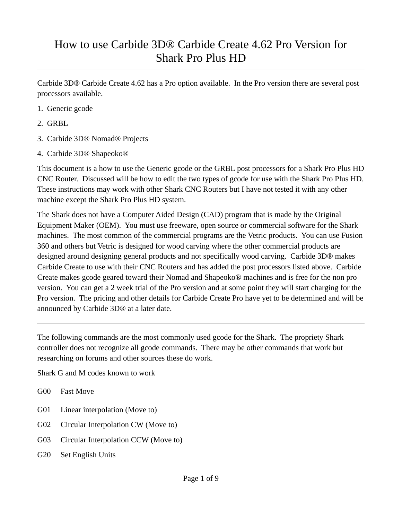## How to use Carbide 3D® Carbide Create 4.62 Pro Version for Shark Pro Plus HD

Carbide 3D® Carbide Create 4.62 has a Pro option available. In the Pro version there are several post processors available.

- 1. Generic gcode
- 2. GRBL
- 3. Carbide 3D® Nomad® Projects
- 4. Carbide 3D® Shapeoko®

This document is a how to use the Generic gcode or the GRBL post processors for a Shark Pro Plus HD CNC Router. Discussed will be how to edit the two types of gcode for use with the Shark Pro Plus HD. These instructions may work with other Shark CNC Routers but I have not tested it with any other machine except the Shark Pro Plus HD system.

The Shark does not have a Computer Aided Design (CAD) program that is made by the Original Equipment Maker (OEM). You must use freeware, open source or commercial software for the Shark machines. The most common of the commercial programs are the Vetric products. You can use Fusion 360 and others but Vetric is designed for wood carving where the other commercial products are designed around designing general products and not specifically wood carving. Carbide 3D® makes Carbide Create to use with their CNC Routers and has added the post processors listed above. Carbide Create makes gcode geared toward their Nomad and Shapeoko® machines and is free for the non pro version. You can get a 2 week trial of the Pro version and at some point they will start charging for the Pro version. The pricing and other details for Carbide Create Pro have yet to be determined and will be announced by Carbide 3D® at a later date.

The following commands are the most commonly used gcode for the Shark. The propriety Shark controller does not recognize all gcode commands. There may be other commands that work but researching on forums and other sources these do work.

Shark G and M codes known to work

- G00 Fast Move
- G01 Linear interpolation (Move to)
- G02 Circular Interpolation CW (Move to)
- G03 Circular Interpolation CCW (Move to)
- G20 Set English Units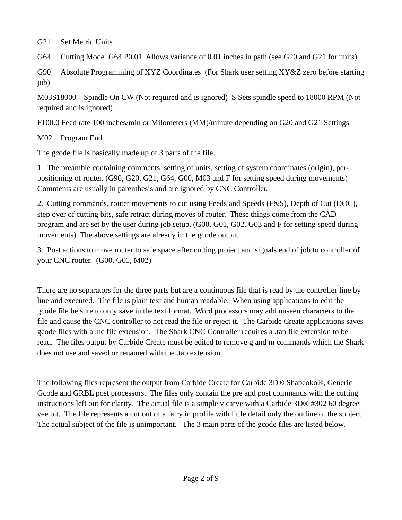G21 Set Metric Units

G64 Cutting Mode G64 P0.01 Allows variance of 0.01 inches in path (see G20 and G21 for units)

G90 Absolute Programming of XYZ Coordinates (For Shark user setting XY&Z zero before starting job)

M03S18000 Spindle On CW (Not required and is ignored) S Sets spindle speed to 18000 RPM (Not required and is ignored)

F100.0 Feed rate 100 inches/min or Milometers (MM)/minute depending on G20 and G21 Settings

M02 Program End

The gcode file is basically made up of 3 parts of the file.

1. The preamble containing comments, setting of units, setting of system coordinates (origin), perpositioning of router. (G90, G20, G21, G64, G00, M03 and F for setting speed during movements) Comments are usually in parenthesis and are ignored by CNC Controller.

2. Cutting commands, router movements to cut using Feeds and Speeds (F&S), Depth of Cut (DOC), step over of cutting bits, safe retract during moves of router. These things come from the CAD program and are set by the user during job setup. (G00, G01, G02, G03 and F for setting speed during movements) The above settings are already in the gcode output.

3. Post actions to move router to safe space after cutting project and signals end of job to controller of your CNC router. (G00, G01, M02)

There are no separators for the three parts but are a continuous file that is read by the controller line by line and executed. The file is plain text and human readable. When using applications to edit the gcode file be sure to only save in the text format. Word processors may add unseen characters to the file and cause the CNC controller to not read the file or reject it. The Carbide Create applications saves gcode files with a .nc file extension. The Shark CNC Controller requires a .tap file extension to be read. The files output by Carbide Create must be edited to remove g and m commands which the Shark does not use and saved or renamed with the .tap extension.

The following files represent the output from Carbide Create for Carbide 3D® Shapeoko®, Generic Gcode and GRBL post processors. The files only contain the pre and post commands with the cutting instructions left out for clarity. The actual file is a simple v carve with a Carbide 3D® #302 60 degree vee bit. The file represents a cut out of a fairy in profile with little detail only the outline of the subject. The actual subject of the file is unimportant. The 3 main parts of the gcode files are listed below.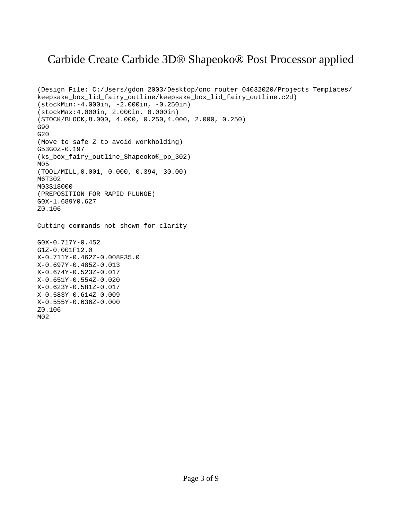#### Carbide Create Carbide 3D® Shapeoko® Post Processor applied

```
(Design File: C:/Users/gdon_2003/Desktop/cnc_router_04032020/Projects_Templates/
keepsake_box_lid_fairy_outline/keepsake_box_lid_fairy_outline.c2d)
(stockMin:-4.000in, -2.000in, -0.250in)
(stockMax:4.000in, 2.000in, 0.000in)
(STOCK/BLOCK,8.000, 4.000, 0.250,4.000, 2.000, 0.250)
G90
G20
(Move to safe Z to avoid workholding)
G53G0Z-0.197
(ks_box_fairy_outline_Shapeoko®_pp_302)
M05
(TOOL/MILL,0.001, 0.000, 0.394, 30.00)
M6T302
M03S18000
(PREPOSITION FOR RAPID PLUNGE)
G0X-1.689Y0.627
Z0.106
Cutting commands not shown for clarity
G0X-0.717Y-0.452
G1Z-0.001F12.0
X-0.711Y-0.462Z-0.008F35.0
X-0.697Y-0.485Z-0.013
X-0.674Y-0.523Z-0.017
X-0.651Y-0.554Z-0.020
X-0.623Y-0.581Z-0.017
X-0.583Y-0.614Z-0.009
X-0.555Y-0.636Z-0.000
Z0.106
M02
```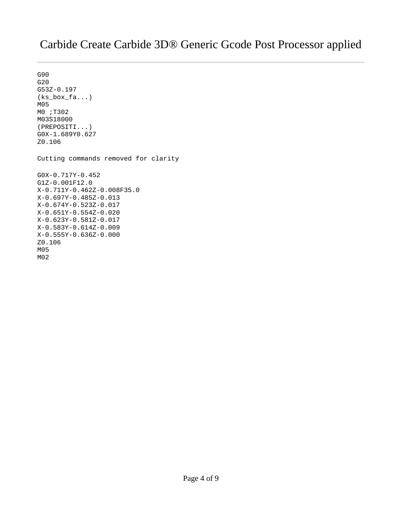#### Carbide Create Carbide 3D® Generic Gcode Post Processor applied

G90 G20 G53Z-0.197 (ks\_box\_fa...) M05 M0 ;T302 M03S18000 (PREPOSITI...) G0X-1.689Y0.627 Z0.106 Cutting commands removed for clarity G0X-0.717Y-0.452 G1Z-0.001F12.0 X-0.711Y-0.462Z-0.008F35.0 X-0.697Y-0.485Z-0.013 X-0.674Y-0.523Z-0.017 X-0.651Y-0.554Z-0.020 X-0.623Y-0.581Z-0.017 X-0.583Y-0.614Z-0.009 X-0.555Y-0.636Z-0.000 Z0.106 M05 M02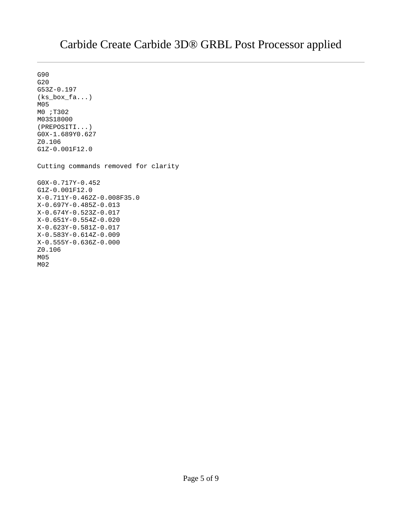#### Carbide Create Carbide 3D® GRBL Post Processor applied

G90 G20 G53Z-0.197 (ks\_box\_fa...) M05 M0 ;T302 M03S18000 (PREPOSITI...) G0X-1.689Y0.627 Z0.106 G1Z-0.001F12.0 Cutting commands removed for clarity G0X-0.717Y-0.452 G1Z-0.001F12.0 X-0.711Y-0.462Z-0.008F35.0 X-0.697Y-0.485Z-0.013 X-0.674Y-0.523Z-0.017 X-0.651Y-0.554Z-0.020 X-0.623Y-0.581Z-0.017 X-0.583Y-0.614Z-0.009 X-0.555Y-0.636Z-0.000 Z0.106 M05 M02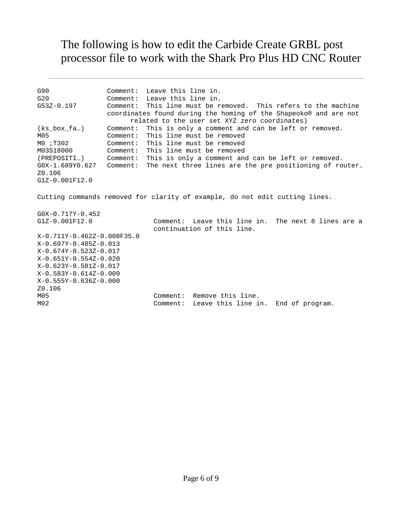# The following is how to edit the Carbide Create GRBL post processor file to work with the Shark Pro Plus HD CNC Router

| G90<br>G20<br>G53Z-0.197                                                    |  | Comment: Leave this line in.<br>Comment: Leave this line in.<br>Comment: This line must be removed. This refers to the machine<br>coordinates found during the homing of the Shapeoko® and are not<br>related to the user set XYZ zero coordinates) |  |  |
|-----------------------------------------------------------------------------|--|-----------------------------------------------------------------------------------------------------------------------------------------------------------------------------------------------------------------------------------------------------|--|--|
| (ks_box_fa…)                                                                |  | Comment: This is only a comment and can be left or removed.                                                                                                                                                                                         |  |  |
| M05                                                                         |  | Comment: This line must be removed                                                                                                                                                                                                                  |  |  |
| M0 ;T302                                                                    |  | Comment: This line must be removed                                                                                                                                                                                                                  |  |  |
| M03S18000                                                                   |  | Comment: This line must be removed                                                                                                                                                                                                                  |  |  |
| (PREPOSITI…)                                                                |  | Comment: This is only a comment and can be left or removed.                                                                                                                                                                                         |  |  |
| G0X-1.689Y0.627                                                             |  | Comment: The next three lines are the pre positioning of router.                                                                                                                                                                                    |  |  |
| Z0.106                                                                      |  |                                                                                                                                                                                                                                                     |  |  |
| $G1Z - 0.001F12.0$                                                          |  |                                                                                                                                                                                                                                                     |  |  |
| Cutting commands removed for clarity of example, do not edit cutting lines. |  |                                                                                                                                                                                                                                                     |  |  |
| $G0X - 0.717Y - 0.452$                                                      |  |                                                                                                                                                                                                                                                     |  |  |
| G1Z-0.001F12.0                                                              |  | Leave this line in. The next 8 lines are a<br>Comment:                                                                                                                                                                                              |  |  |
|                                                                             |  | continuation of this line.                                                                                                                                                                                                                          |  |  |
| X-0.711Y-0.462Z-0.008F35.0                                                  |  |                                                                                                                                                                                                                                                     |  |  |
| X-0.697Y-0.485Z-0.013                                                       |  |                                                                                                                                                                                                                                                     |  |  |
| X-0.674Y-0.523Z-0.017                                                       |  |                                                                                                                                                                                                                                                     |  |  |
| X-0.651Y-0.554Z-0.020                                                       |  |                                                                                                                                                                                                                                                     |  |  |
| X-0.623Y-0.581Z-0.017                                                       |  |                                                                                                                                                                                                                                                     |  |  |
| X-0.583Y-0.614Z-0.009                                                       |  |                                                                                                                                                                                                                                                     |  |  |
| X-0.555Y-0.636Z-0.000                                                       |  |                                                                                                                                                                                                                                                     |  |  |
| Z0.106                                                                      |  |                                                                                                                                                                                                                                                     |  |  |
| M05                                                                         |  | Remove this line.<br>Comment:                                                                                                                                                                                                                       |  |  |
| M02                                                                         |  | Leave this line in. End of program.<br>Comment:                                                                                                                                                                                                     |  |  |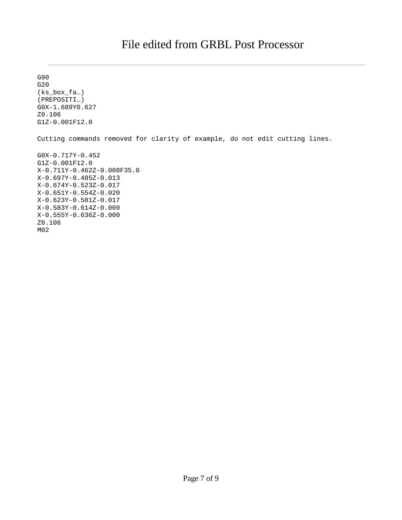G90 G20 (ks\_box\_fa…) (PREPOSITI…) G0X-1.689Y0.627 Z0.106 G1Z-0.001F12.0 Cutting commands removed for clarity of example, do not edit cutting lines. G0X-0.717Y-0.452 G1Z-0.001F12.0 X-0.711Y-0.462Z-0.008F35.0 X-0.697Y-0.485Z-0.013 X-0.674Y-0.523Z-0.017 X-0.651Y-0.554Z-0.020 X-0.623Y-0.581Z-0.017 X-0.583Y-0.614Z-0.009 X-0.555Y-0.636Z-0.000 Z0.106 M02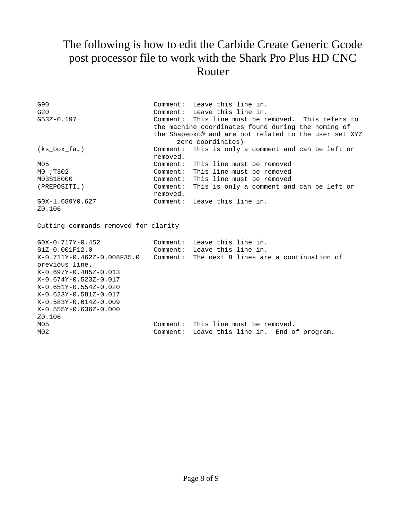### The following is how to edit the Carbide Create Generic Gcode post processor file to work with the Shark Pro Plus HD CNC Router

| G90<br>G20<br>$G53Z - 0.197$                                                                                                                                                                                                                             |                                              | Comment: Leave this line in.<br>Comment: Leave this line in.<br>Comment: This line must be removed. This refers to<br>the machine coordinates found during the homing of<br>the Shapeoko® and are not related to the user set XYZ<br>zero coordinates) |  |  |
|----------------------------------------------------------------------------------------------------------------------------------------------------------------------------------------------------------------------------------------------------------|----------------------------------------------|--------------------------------------------------------------------------------------------------------------------------------------------------------------------------------------------------------------------------------------------------------|--|--|
| $(ks_{box\_fa})$                                                                                                                                                                                                                                         | Comment:<br>removed.                         | This is only a comment and can be left or                                                                                                                                                                                                              |  |  |
| M05<br>M0 ; T302<br>M03S18000<br>(PREPOSITI)                                                                                                                                                                                                             | Comment:<br>Comment:<br>Comment:<br>removed. | This line must be removed<br>This line must be removed<br>Comment: This line must be removed<br>This is only a comment and can be left or                                                                                                              |  |  |
| G0X-1.689Y0.627<br>Z0.106                                                                                                                                                                                                                                |                                              | Comment: Leave this line in.                                                                                                                                                                                                                           |  |  |
| Cutting commands removed for clarity                                                                                                                                                                                                                     |                                              |                                                                                                                                                                                                                                                        |  |  |
| $GOX - 0.717Y - 0.452$<br>G1Z-0.001F12.0<br>X-0.711Y-0.462Z-0.008F35.0<br>previous line.<br>X-0.697Y-0.485Z-0.013<br>X-0.674Y-0.523Z-0.017<br>X-0.651Y-0.554Z-0.020<br>X-0.623Y-0.581Z-0.017<br>X-0.583Y-0.614Z-0.009<br>X-0.555Y-0.636Z-0.000<br>Z0.106 | Comment:                                     | Comment: Leave this line in.<br>Comment: Leave this line in.<br>The next 8 lines are a continuation of                                                                                                                                                 |  |  |
| M05<br>M02                                                                                                                                                                                                                                               | Comment:<br>Comment:                         | This line must be removed.<br>Leave this line in. End of program.                                                                                                                                                                                      |  |  |